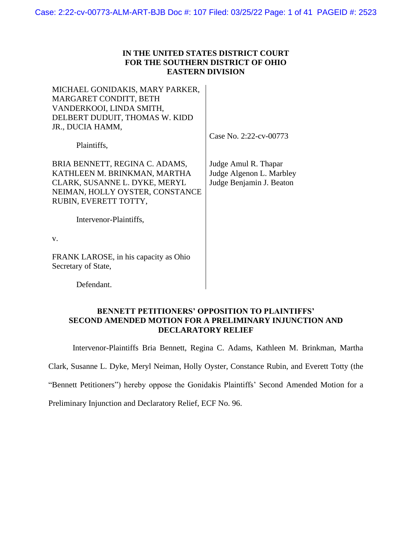### **IN THE UNITED STATES DISTRICT COURT FOR THE SOUTHERN DISTRICT OF OHIO EASTERN DIVISION**

MICHAEL GONIDAKIS, MARY PARKER, MARGARET CONDITT, BETH VANDERKOOI, LINDA SMITH, DELBERT DUDUIT, THOMAS W. KIDD JR., DUCIA HAMM,

Case No. 2:22-cv-00773

Plaintiffs,

BRIA BENNETT, REGINA C. ADAMS, KATHLEEN M. BRINKMAN, MARTHA CLARK, SUSANNE L. DYKE, MERYL NEIMAN, HOLLY OYSTER, CONSTANCE RUBIN, EVERETT TOTTY,

Judge Amul R. Thapar Judge Algenon L. Marbley Judge Benjamin J. Beaton

Intervenor-Plaintiffs,

v.

FRANK LAROSE, in his capacity as Ohio Secretary of State,

Defendant.

### **BENNETT PETITIONERS' OPPOSITION TO PLAINTIFFS' SECOND AMENDED MOTION FOR A PRELIMINARY INJUNCTION AND DECLARATORY RELIEF**

Intervenor-Plaintiffs Bria Bennett, Regina C. Adams, Kathleen M. Brinkman, Martha

Clark, Susanne L. Dyke, Meryl Neiman, Holly Oyster, Constance Rubin, and Everett Totty (the

"Bennett Petitioners") hereby oppose the Gonidakis Plaintiffs' Second Amended Motion for a

Preliminary Injunction and Declaratory Relief, ECF No. 96.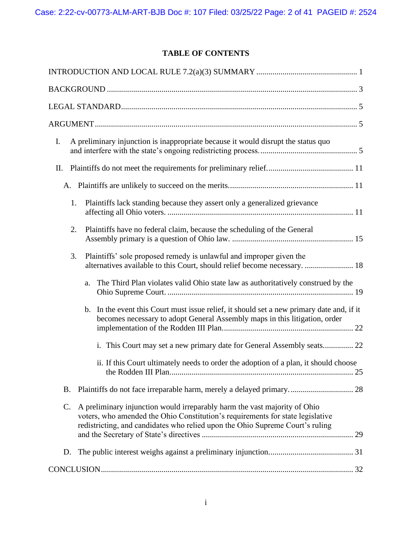# <span id="page-1-0"></span>**TABLE OF CONTENTS**

| I.<br>A preliminary injunction is inappropriate because it would disrupt the status quo                                                                                                                                                            |
|----------------------------------------------------------------------------------------------------------------------------------------------------------------------------------------------------------------------------------------------------|
| П.                                                                                                                                                                                                                                                 |
|                                                                                                                                                                                                                                                    |
| Plaintiffs lack standing because they assert only a generalized grievance<br>1.                                                                                                                                                                    |
| 2.<br>Plaintiffs have no federal claim, because the scheduling of the General                                                                                                                                                                      |
| Plaintiffs' sole proposed remedy is unlawful and improper given the<br>3.<br>alternatives available to this Court, should relief become necessary.  18                                                                                             |
| The Third Plan violates valid Ohio state law as authoritatively construed by the<br>a.                                                                                                                                                             |
| b. In the event this Court must issue relief, it should set a new primary date and, if it<br>becomes necessary to adopt General Assembly maps in this litigation, order                                                                            |
| i. This Court may set a new primary date for General Assembly seats 22                                                                                                                                                                             |
| ii. If this Court ultimately needs to order the adoption of a plan, it should choose                                                                                                                                                               |
| B.                                                                                                                                                                                                                                                 |
| A preliminary injunction would irreparably harm the vast majority of Ohio<br>C.<br>voters, who amended the Ohio Constitution's requirements for state legislative<br>redistricting, and candidates who relied upon the Ohio Supreme Court's ruling |
| D.                                                                                                                                                                                                                                                 |
|                                                                                                                                                                                                                                                    |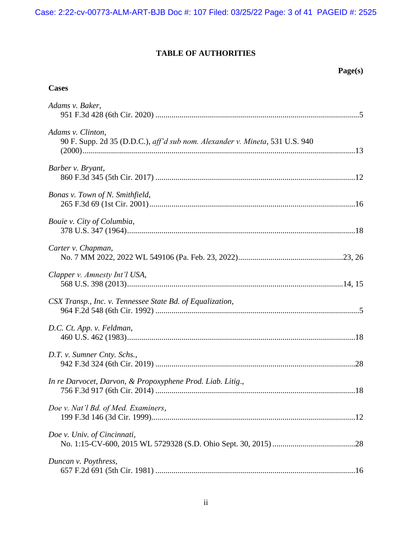# **TABLE OF AUTHORITIES**

## **Cases**

| Adams v. Baker,                                                                                   |  |
|---------------------------------------------------------------------------------------------------|--|
| Adams v. Clinton,<br>90 F. Supp. 2d 35 (D.D.C.), aff'd sub nom. Alexander v. Mineta, 531 U.S. 940 |  |
| Barber v. Bryant,                                                                                 |  |
| Bonas v. Town of N. Smithfield,                                                                   |  |
| Bouie v. City of Columbia,                                                                        |  |
| Carter v. Chapman,                                                                                |  |
| Clapper v. Amnesty Int'l USA,                                                                     |  |
| CSX Transp., Inc. v. Tennessee State Bd. of Equalization,                                         |  |
| D.C. Ct. App. v. Feldman,                                                                         |  |
| D.T. v. Sumner Cnty. Schs.,                                                                       |  |
| In re Darvocet, Darvon, & Propoxyphene Prod. Liab. Litig.,                                        |  |
| Doe v. Nat'l Bd. of Med. Examiners,                                                               |  |
| Doe v. Univ. of Cincinnati,                                                                       |  |
| Duncan v. Poythress,                                                                              |  |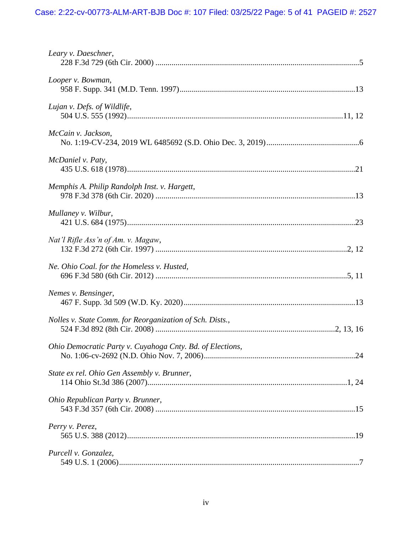| Leary v. Daeschner,                                       |
|-----------------------------------------------------------|
| Looper v. Bowman,                                         |
| Lujan v. Defs. of Wildlife,                               |
| McCain v. Jackson,                                        |
| McDaniel v. Paty,                                         |
| Memphis A. Philip Randolph Inst. v. Hargett,              |
| Mullaney v. Wilbur,                                       |
| Nat'l Rifle Ass'n of Am. v. Magaw,                        |
| Ne. Ohio Coal. for the Homeless v. Husted,                |
| Nemes v. Bensinger,                                       |
| Nolles v. State Comm. for Reorganization of Sch. Dists.,  |
| Ohio Democratic Party v. Cuyahoga Cnty. Bd. of Elections, |
| State ex rel. Ohio Gen Assembly v. Brunner,               |
| Ohio Republican Party v. Brunner,                         |
| Perry v. Perez,                                           |
| Purcell v. Gonzalez,                                      |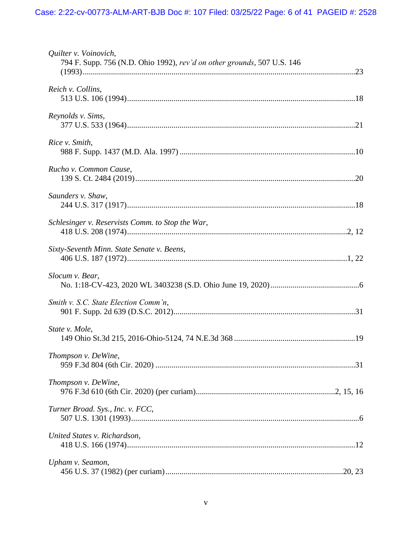| Quilter v. Voinovich,<br>794 F. Supp. 756 (N.D. Ohio 1992), rev'd on other grounds, 507 U.S. 146 |
|--------------------------------------------------------------------------------------------------|
| Reich v. Collins,                                                                                |
| Reynolds v. Sims,                                                                                |
| Rice v. Smith,                                                                                   |
| Rucho v. Common Cause,                                                                           |
| Saunders v. Shaw,                                                                                |
| Schlesinger v. Reservists Comm. to Stop the War,                                                 |
| Sixty-Seventh Minn. State Senate v. Beens,                                                       |
| Slocum v. Bear,                                                                                  |
| Smith v. S.C. State Election Comm'n,                                                             |
| State v. Mole,                                                                                   |
| Thompson v. DeWine,                                                                              |
| Thompson v. DeWine,                                                                              |
| Turner Broad. Sys., Inc. v. FCC,                                                                 |
| United States v. Richardson,                                                                     |
| Upham v. Seamon,                                                                                 |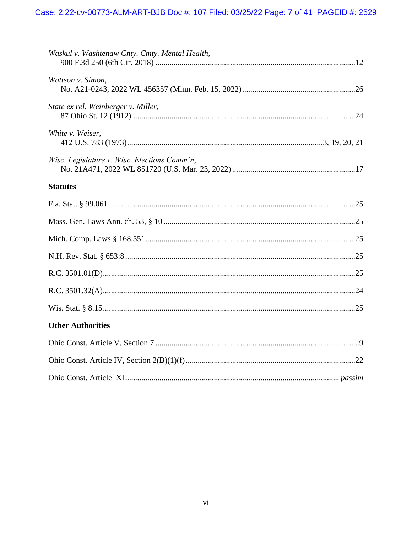| Waskul v. Washtenaw Cnty. Cmty. Mental Health, |
|------------------------------------------------|
| Wattson v. Simon,                              |
| State ex rel. Weinberger v. Miller,            |
| White v. Weiser,                               |
| Wisc. Legislature v. Wisc. Elections Comm'n,   |
| <b>Statutes</b>                                |
|                                                |
|                                                |
|                                                |
|                                                |
|                                                |
|                                                |
|                                                |
| <b>Other Authorities</b>                       |
|                                                |
|                                                |
|                                                |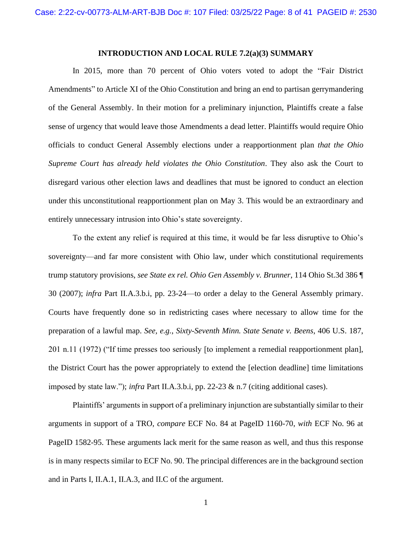#### **INTRODUCTION AND LOCAL RULE 7.2(a)(3) SUMMARY**

In 2015, more than 70 percent of Ohio voters voted to adopt the "Fair District Amendments" to Article XI of the Ohio Constitution and bring an end to partisan gerrymandering of the General Assembly. In their motion for a preliminary injunction, Plaintiffs create a false sense of urgency that would leave those Amendments a dead letter. Plaintiffs would require Ohio officials to conduct General Assembly elections under a reapportionment plan *that the Ohio Supreme Court has already held violates the Ohio Constitution*. They also ask the Court to disregard various other election laws and deadlines that must be ignored to conduct an election under this unconstitutional reapportionment plan on May 3. This would be an extraordinary and entirely unnecessary intrusion into Ohio's state sovereignty.

To the extent any relief is required at this time, it would be far less disruptive to Ohio's sovereignty—and far more consistent with Ohio law, under which constitutional requirements trump statutory provisions, *see State ex rel. Ohio Gen Assembly v. Brunner*, 114 Ohio St.3d 386 ¶ 30 (2007); *infra* Part II.A.3.b.i, pp. 23-24—to order a delay to the General Assembly primary. Courts have frequently done so in redistricting cases where necessary to allow time for the preparation of a lawful map. *See, e.g.*, *Sixty-Seventh Minn. State Senate v. Beens*, 406 U.S. 187, 201 n.11 (1972) ("If time presses too seriously [to implement a remedial reapportionment plan], the District Court has the power appropriately to extend the [election deadline] time limitations imposed by state law."); *infra* Part II.A.3.b.i, pp. 22-23 & n.7 (citing additional cases).

Plaintiffs' arguments in support of a preliminary injunction are substantially similar to their arguments in support of a TRO, *compare* ECF No. 84 at PageID 1160-70, *with* ECF No. 96 at PageID 1582-95. These arguments lack merit for the same reason as well, and thus this response is in many respects similar to ECF No. 90. The principal differences are in the background section and in Parts I, II.A.1, II.A.3, and II.C of the argument.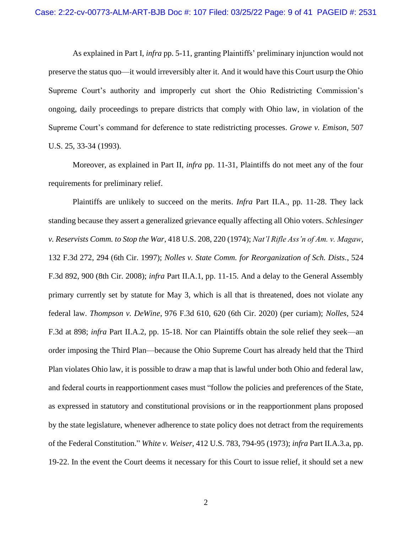As explained in Part I, *infra* pp. 5-11, granting Plaintiffs' preliminary injunction would not preserve the status quo—it would irreversibly alter it. And it would have this Court usurp the Ohio Supreme Court's authority and improperly cut short the Ohio Redistricting Commission's ongoing, daily proceedings to prepare districts that comply with Ohio law, in violation of the Supreme Court's command for deference to state redistricting processes. *Growe v. Emison*, 507 U.S. 25, 33-34 (1993).

Moreover, as explained in Part II, *infra* pp. 11-31, Plaintiffs do not meet any of the four requirements for preliminary relief.

Plaintiffs are unlikely to succeed on the merits. *Infra* Part II.A., pp. 11-28. They lack standing because they assert a generalized grievance equally affecting all Ohio voters. *Schlesinger v. Reservists Comm. to Stop the War*, 418 U.S. 208, 220 (1974); *Nat'l Rifle Ass'n of Am. v. Magaw*, 132 F.3d 272, 294 (6th Cir. 1997); *Nolles v. State Comm. for Reorganization of Sch. Dists.*, 524 F.3d 892, 900 (8th Cir. 2008); *infra* Part II.A.1, pp. 11-15. And a delay to the General Assembly primary currently set by statute for May 3, which is all that is threatened, does not violate any federal law. *Thompson v. DeWine*, 976 F.3d 610, 620 (6th Cir. 2020) (per curiam); *Nolles*, 524 F.3d at 898; *infra* Part II.A.2, pp. 15-18. Nor can Plaintiffs obtain the sole relief they seek—an order imposing the Third Plan—because the Ohio Supreme Court has already held that the Third Plan violates Ohio law, it is possible to draw a map that is lawful under both Ohio and federal law, and federal courts in reapportionment cases must "follow the policies and preferences of the State, as expressed in statutory and constitutional provisions or in the reapportionment plans proposed by the state legislature, whenever adherence to state policy does not detract from the requirements of the Federal Constitution." *White v. Weiser*, 412 U.S. 783, 794-95 (1973); *infra* Part II.A.3.a, pp. 19-22. In the event the Court deems it necessary for this Court to issue relief, it should set a new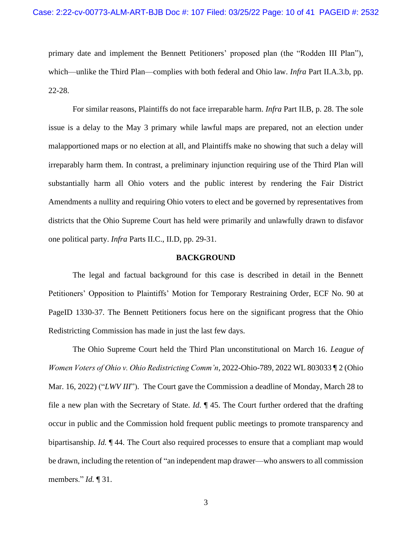primary date and implement the Bennett Petitioners' proposed plan (the "Rodden III Plan"), which—unlike the Third Plan—complies with both federal and Ohio law. *Infra* Part II.A.3.b, pp. 22-28.

For similar reasons, Plaintiffs do not face irreparable harm. *Infra* Part II.B, p. 28. The sole issue is a delay to the May 3 primary while lawful maps are prepared, not an election under malapportioned maps or no election at all, and Plaintiffs make no showing that such a delay will irreparably harm them. In contrast, a preliminary injunction requiring use of the Third Plan will substantially harm all Ohio voters and the public interest by rendering the Fair District Amendments a nullity and requiring Ohio voters to elect and be governed by representatives from districts that the Ohio Supreme Court has held were primarily and unlawfully drawn to disfavor one political party. *Infra* Parts II.C., II.D, pp. 29-31.

#### **BACKGROUND**

<span id="page-9-0"></span>The legal and factual background for this case is described in detail in the Bennett Petitioners' Opposition to Plaintiffs' Motion for Temporary Restraining Order, ECF No. 90 at PageID 1330-37. The Bennett Petitioners focus here on the significant progress that the Ohio Redistricting Commission has made in just the last few days.

The Ohio Supreme Court held the Third Plan unconstitutional on March 16. *League of Women Voters of Ohio v. Ohio Redistricting Comm'n*, 2022-Ohio-789, 2022 WL 803033 ¶ 2 (Ohio Mar. 16, 2022) ("*LWV III*"). The Court gave the Commission a deadline of Monday, March 28 to file a new plan with the Secretary of State. *Id.* ¶ 45. The Court further ordered that the drafting occur in public and the Commission hold frequent public meetings to promote transparency and bipartisanship. *Id.* ¶ 44. The Court also required processes to ensure that a compliant map would be drawn, including the retention of "an independent map drawer—who answers to all commission members." *Id.* ¶ 31.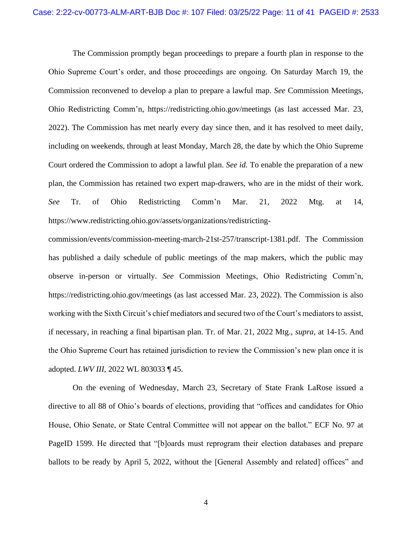The Commission promptly began proceedings to prepare a fourth plan in response to the Ohio Supreme Court's order, and those proceedings are ongoing. On Saturday March 19, the Commission reconvened to develop a plan to prepare a lawful map. *See* Commission Meetings, Ohio Redistricting Comm'n, https://redistricting.ohio.gov/meetings (as last accessed Mar. 23, 2022). The Commission has met nearly every day since then, and it has resolved to meet daily, including on weekends, through at least Monday, March 28, the date by which the Ohio Supreme Court ordered the Commission to adopt a lawful plan. *See id.* To enable the preparation of a new plan, the Commission has retained two expert map-drawers, who are in the midst of their work. *See* Tr. of Ohio Redistricting Comm'n Mar. 21, 2022 Mtg. at 14, https://www.redistricting.ohio.gov/assets/organizations/redistricting-

commission/events/commission-meeting-march-21st-257/transcript-1381.pdf. The Commission has published a daily schedule of public meetings of the map makers, which the public may observe in-person or virtually. *See* Commission Meetings, Ohio Redistricting Comm'n, https://redistricting.ohio.gov/meetings (as last accessed Mar. 23, 2022). The Commission is also working with the Sixth Circuit's chief mediators and secured two of the Court's mediators to assist, if necessary, in reaching a final bipartisan plan. Tr. of Mar. 21, 2022 Mtg., *supra*, at 14-15. And the Ohio Supreme Court has retained jurisdiction to review the Commission's new plan once it is adopted. *LWV III*, 2022 WL 803033 ¶ 45.

On the evening of Wednesday, March 23, Secretary of State Frank LaRose issued a directive to all 88 of Ohio's boards of elections, providing that "offices and candidates for Ohio House, Ohio Senate, or State Central Committee will not appear on the ballot." ECF No. 97 at PageID 1599. He directed that "[b]oards must reprogram their election databases and prepare ballots to be ready by April 5, 2022, without the [General Assembly and related] offices" and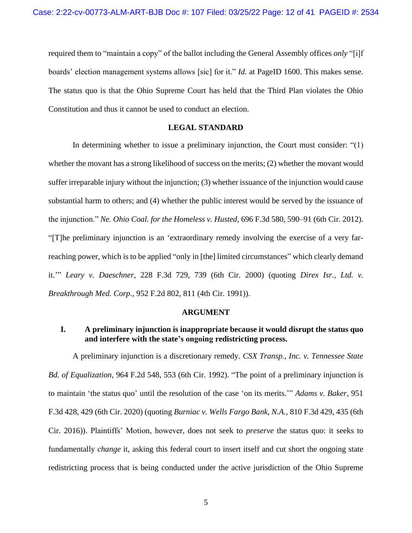required them to "maintain a copy" of the ballot including the General Assembly offices *only* "[i]f boards' election management systems allows [sic] for it." *Id.* at PageID 1600. This makes sense. The status quo is that the Ohio Supreme Court has held that the Third Plan violates the Ohio Constitution and thus it cannot be used to conduct an election.

### **LEGAL STANDARD**

<span id="page-11-0"></span>In determining whether to issue a preliminary injunction, the Court must consider: "(1) whether the movant has a strong likelihood of success on the merits; (2) whether the movant would suffer irreparable injury without the injunction; (3) whether issuance of the injunction would cause substantial harm to others; and (4) whether the public interest would be served by the issuance of the injunction." *Ne. Ohio Coal. for the Homeless v. Husted*, 696 F.3d 580, 590–91 (6th Cir. 2012). "[T]he preliminary injunction is an 'extraordinary remedy involving the exercise of a very farreaching power, which is to be applied "only in [the] limited circumstances" which clearly demand it.'" *Leary v. Daeschner*, 228 F.3d 729, 739 (6th Cir. 2000) (quoting *Direx Isr., Ltd. v. Breakthrough Med. Corp.*, 952 F.2d 802, 811 (4th Cir. 1991)).

#### **ARGUMENT**

### <span id="page-11-2"></span><span id="page-11-1"></span>**I. A preliminary injunction is inappropriate because it would disrupt the status quo and interfere with the state's ongoing redistricting process.**

A preliminary injunction is a discretionary remedy. *CSX Transp., Inc. v. Tennessee State Bd. of Equalization*, 964 F.2d 548, 553 (6th Cir. 1992). "The point of a preliminary injunction is to maintain 'the status quo' until the resolution of the case 'on its merits.'" *Adams v. Baker*, 951 F.3d 428, 429 (6th Cir. 2020) (quoting *Burniac v. Wells Fargo Bank, N.A.*, 810 F.3d 429, 435 (6th Cir. 2016)). Plaintiffs' Motion, however, does not seek to *preserve* the status quo: it seeks to fundamentally *change* it, asking this federal court to insert itself and cut short the ongoing state redistricting process that is being conducted under the active jurisdiction of the Ohio Supreme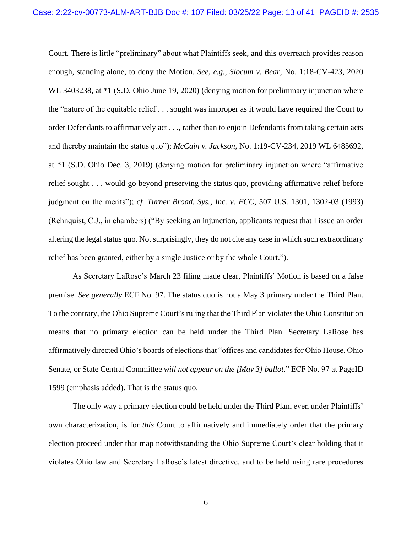Court. There is little "preliminary" about what Plaintiffs seek, and this overreach provides reason enough, standing alone, to deny the Motion. *See, e.g.*, *Slocum v. Bear*, No. 1:18-CV-423, 2020 WL 3403238, at  $*1$  (S.D. Ohio June 19, 2020) (denying motion for preliminary injunction where the "nature of the equitable relief . . . sought was improper as it would have required the Court to order Defendants to affirmatively act . . ., rather than to enjoin Defendants from taking certain acts and thereby maintain the status quo"); *McCain v. Jackson*, No. 1:19-CV-234, 2019 WL 6485692, at \*1 (S.D. Ohio Dec. 3, 2019) (denying motion for preliminary injunction where "affirmative relief sought . . . would go beyond preserving the status quo, providing affirmative relief before judgment on the merits"); *cf. Turner Broad. Sys., Inc. v. FCC*, 507 U.S. 1301, 1302-03 (1993) (Rehnquist, C.J., in chambers) ("By seeking an injunction, applicants request that I issue an order altering the legal status quo. Not surprisingly, they do not cite any case in which such extraordinary relief has been granted, either by a single Justice or by the whole Court.").

As Secretary LaRose's March 23 filing made clear, Plaintiffs' Motion is based on a false premise. *See generally* ECF No. 97. The status quo is not a May 3 primary under the Third Plan. To the contrary, the Ohio Supreme Court's ruling that the Third Plan violates the Ohio Constitution means that no primary election can be held under the Third Plan. Secretary LaRose has affirmatively directed Ohio's boards of elections that "offices and candidates for Ohio House, Ohio Senate, or State Central Committee *will not appear on the [May 3] ballot*." ECF No. 97 at PageID 1599 (emphasis added). That is the status quo.

The only way a primary election could be held under the Third Plan, even under Plaintiffs' own characterization, is for *this* Court to affirmatively and immediately order that the primary election proceed under that map notwithstanding the Ohio Supreme Court's clear holding that it violates Ohio law and Secretary LaRose's latest directive, and to be held using rare procedures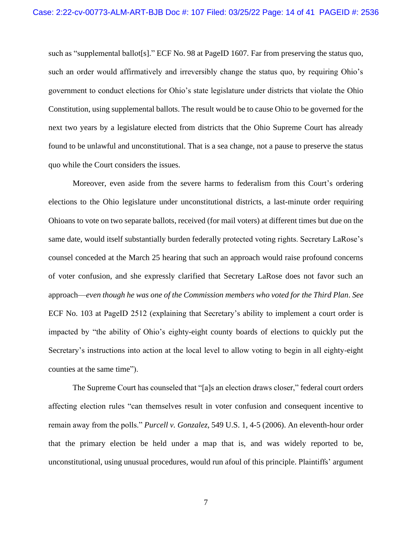such as "supplemental ballot[s]." ECF No. 98 at PageID 1607*.* Far from preserving the status quo, such an order would affirmatively and irreversibly change the status quo, by requiring Ohio's government to conduct elections for Ohio's state legislature under districts that violate the Ohio Constitution, using supplemental ballots. The result would be to cause Ohio to be governed for the next two years by a legislature elected from districts that the Ohio Supreme Court has already found to be unlawful and unconstitutional. That is a sea change, not a pause to preserve the status quo while the Court considers the issues.

Moreover, even aside from the severe harms to federalism from this Court's ordering elections to the Ohio legislature under unconstitutional districts, a last-minute order requiring Ohioans to vote on two separate ballots, received (for mail voters) at different times but due on the same date, would itself substantially burden federally protected voting rights. Secretary LaRose's counsel conceded at the March 25 hearing that such an approach would raise profound concerns of voter confusion, and she expressly clarified that Secretary LaRose does not favor such an approach—*even though he was one of the Commission members who voted for the Third Plan*. *See*  ECF No. 103 at PageID 2512 (explaining that Secretary's ability to implement a court order is impacted by "the ability of Ohio's eighty-eight county boards of elections to quickly put the Secretary's instructions into action at the local level to allow voting to begin in all eighty-eight counties at the same time").

The Supreme Court has counseled that "[a]s an election draws closer," federal court orders affecting election rules "can themselves result in voter confusion and consequent incentive to remain away from the polls." *Purcell v. Gonzalez*, 549 U.S. 1, 4-5 (2006). An eleventh-hour order that the primary election be held under a map that is, and was widely reported to be, unconstitutional, using unusual procedures, would run afoul of this principle. Plaintiffs' argument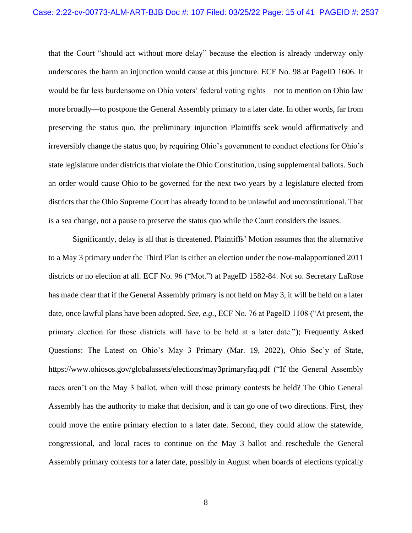that the Court "should act without more delay" because the election is already underway only underscores the harm an injunction would cause at this juncture. ECF No. 98 at PageID 1606. It would be far less burdensome on Ohio voters' federal voting rights—not to mention on Ohio law more broadly—to postpone the General Assembly primary to a later date. In other words, far from preserving the status quo, the preliminary injunction Plaintiffs seek would affirmatively and irreversibly change the status quo, by requiring Ohio's government to conduct elections for Ohio's state legislature under districts that violate the Ohio Constitution, using supplemental ballots. Such an order would cause Ohio to be governed for the next two years by a legislature elected from districts that the Ohio Supreme Court has already found to be unlawful and unconstitutional. That is a sea change, not a pause to preserve the status quo while the Court considers the issues.

Significantly, delay is all that is threatened. Plaintiffs' Motion assumes that the alternative to a May 3 primary under the Third Plan is either an election under the now-malapportioned 2011 districts or no election at all. ECF No. 96 ("Mot.") at PageID 1582-84. Not so. Secretary LaRose has made clear that if the General Assembly primary is not held on May 3, it will be held on a later date, once lawful plans have been adopted. *See, e.g.*, ECF No. 76 at PageID 1108 ("At present, the primary election for those districts will have to be held at a later date."); Frequently Asked Questions: The Latest on Ohio's May 3 Primary (Mar. 19, 2022), Ohio Sec'y of State, https://www.ohiosos.gov/globalassets/elections/may3primaryfaq.pdf ("If the General Assembly races aren't on the May 3 ballot, when will those primary contests be held? The Ohio General Assembly has the authority to make that decision, and it can go one of two directions. First, they could move the entire primary election to a later date. Second, they could allow the statewide, congressional, and local races to continue on the May 3 ballot and reschedule the General Assembly primary contests for a later date, possibly in August when boards of elections typically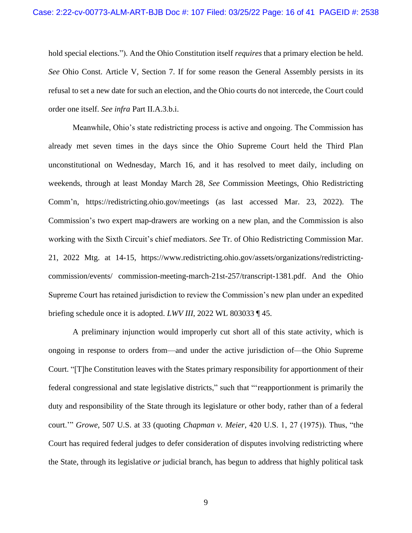hold special elections."). And the Ohio Constitution itself *requires* that a primary election be held. *See* Ohio Const. Article V, Section 7. If for some reason the General Assembly persists in its refusal to set a new date for such an election, and the Ohio courts do not intercede, the Court could order one itself. *See infra* Part II.A.3.b.i.

Meanwhile, Ohio's state redistricting process is active and ongoing. The Commission has already met seven times in the days since the Ohio Supreme Court held the Third Plan unconstitutional on Wednesday, March 16, and it has resolved to meet daily, including on weekends, through at least Monday March 28, *See* Commission Meetings, Ohio Redistricting Comm'n, https://redistricting.ohio.gov/meetings (as last accessed Mar. 23, 2022). The Commission's two expert map-drawers are working on a new plan, and the Commission is also working with the Sixth Circuit's chief mediators. *See* Tr. of Ohio Redistricting Commission Mar. 21, 2022 Mtg. at 14-15, https://www.redistricting.ohio.gov/assets/organizations/redistrictingcommission/events/ commission-meeting-march-21st-257/transcript-1381.pdf. And the Ohio Supreme Court has retained jurisdiction to review the Commission's new plan under an expedited briefing schedule once it is adopted. *LWV III*, 2022 WL 803033 ¶ 45.

A preliminary injunction would improperly cut short all of this state activity, which is ongoing in response to orders from—and under the active jurisdiction of—the Ohio Supreme Court. "[T]he Constitution leaves with the States primary responsibility for apportionment of their federal congressional and state legislative districts," such that "'reapportionment is primarily the duty and responsibility of the State through its legislature or other body, rather than of a federal court.'" *Growe*, 507 U.S. at 33 (quoting *Chapman v. Meier*, 420 U.S. 1, 27 (1975)). Thus, "the Court has required federal judges to defer consideration of disputes involving redistricting where the State, through its legislative *or* judicial branch, has begun to address that highly political task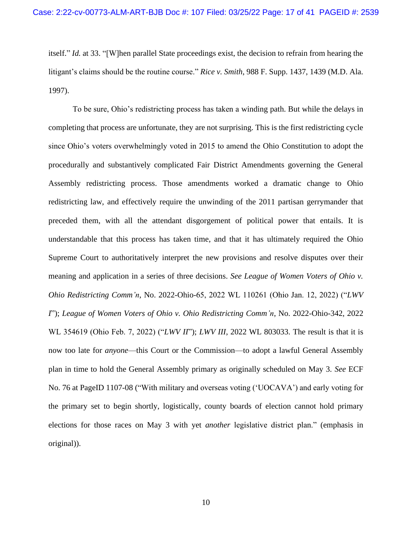itself." *Id.* at 33. "[W]hen parallel State proceedings exist, the decision to refrain from hearing the litigant's claims should be the routine course." *Rice v. Smith*, 988 F. Supp. 1437, 1439 (M.D. Ala. 1997).

To be sure, Ohio's redistricting process has taken a winding path. But while the delays in completing that process are unfortunate, they are not surprising. This is the first redistricting cycle since Ohio's voters overwhelmingly voted in 2015 to amend the Ohio Constitution to adopt the procedurally and substantively complicated Fair District Amendments governing the General Assembly redistricting process. Those amendments worked a dramatic change to Ohio redistricting law, and effectively require the unwinding of the 2011 partisan gerrymander that preceded them, with all the attendant disgorgement of political power that entails. It is understandable that this process has taken time, and that it has ultimately required the Ohio Supreme Court to authoritatively interpret the new provisions and resolve disputes over their meaning and application in a series of three decisions. *See League of Women Voters of Ohio v. Ohio Redistricting Comm'n*, No. 2022-Ohio-65, 2022 WL 110261 (Ohio Jan. 12, 2022) ("*LWV I*"); *League of Women Voters of Ohio v. Ohio Redistricting Comm'n*, No. 2022-Ohio-342, 2022 WL 354619 (Ohio Feb. 7, 2022) ("*LWV II*"); *LWV III*, 2022 WL 803033. The result is that it is now too late for *anyone*—this Court or the Commission—to adopt a lawful General Assembly plan in time to hold the General Assembly primary as originally scheduled on May 3. *See* ECF No. 76 at PageID 1107-08 ("With military and overseas voting ('UOCAVA') and early voting for the primary set to begin shortly, logistically, county boards of election cannot hold primary elections for those races on May 3 with yet *another* legislative district plan." (emphasis in original)).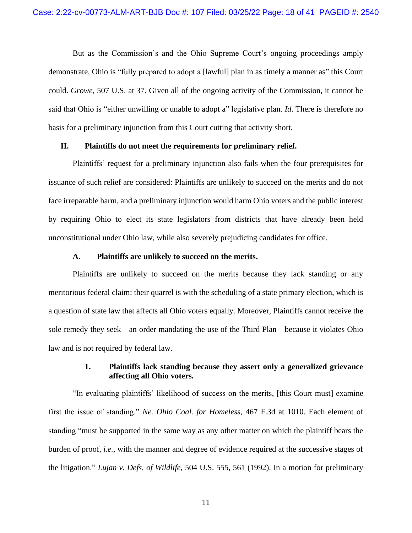But as the Commission's and the Ohio Supreme Court's ongoing proceedings amply demonstrate, Ohio is "fully prepared to adopt a [lawful] plan in as timely a manner as" this Court could. *Growe*, 507 U.S. at 37. Given all of the ongoing activity of the Commission, it cannot be said that Ohio is "either unwilling or unable to adopt a" legislative plan. *Id*. There is therefore no basis for a preliminary injunction from this Court cutting that activity short.

#### <span id="page-17-0"></span>**II. Plaintiffs do not meet the requirements for preliminary relief.**

Plaintiffs' request for a preliminary injunction also fails when the four prerequisites for issuance of such relief are considered: Plaintiffs are unlikely to succeed on the merits and do not face irreparable harm, and a preliminary injunction would harm Ohio voters and the public interest by requiring Ohio to elect its state legislators from districts that have already been held unconstitutional under Ohio law, while also severely prejudicing candidates for office.

#### **A. Plaintiffs are unlikely to succeed on the merits.**

<span id="page-17-1"></span>Plaintiffs are unlikely to succeed on the merits because they lack standing or any meritorious federal claim: their quarrel is with the scheduling of a state primary election, which is a question of state law that affects all Ohio voters equally. Moreover, Plaintiffs cannot receive the sole remedy they seek—an order mandating the use of the Third Plan—because it violates Ohio law and is not required by federal law.

### **1. Plaintiffs lack standing because they assert only a generalized grievance affecting all Ohio voters.**

<span id="page-17-2"></span>"In evaluating plaintiffs' likelihood of success on the merits, [this Court must] examine first the issue of standing." *Ne. Ohio Coal. for Homeless*, 467 F.3d at 1010. Each element of standing "must be supported in the same way as any other matter on which the plaintiff bears the burden of proof, *i.e.*, with the manner and degree of evidence required at the successive stages of the litigation." *Lujan v. Defs. of Wildlife*, 504 U.S. 555, 561 (1992). In a motion for preliminary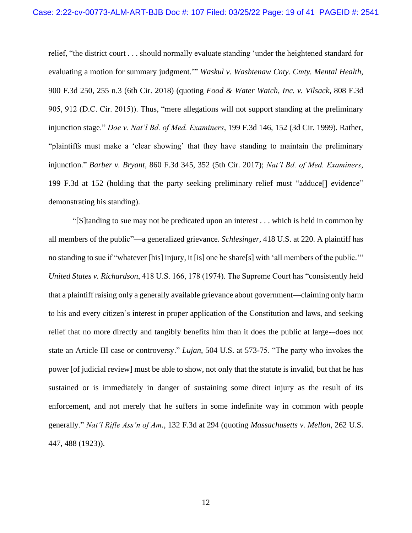relief, "the district court . . . should normally evaluate standing 'under the heightened standard for evaluating a motion for summary judgment.'" *Waskul v. Washtenaw Cnty. Cmty. Mental Health*, 900 F.3d 250, 255 n.3 (6th Cir. 2018) (quoting *Food & Water Watch, Inc. v. Vilsack*, 808 F.3d 905, 912 (D.C. Cir. 2015)). Thus, "mere allegations will not support standing at the preliminary injunction stage." *Doe v. Nat'l Bd. of Med. Examiners*, 199 F.3d 146, 152 (3d Cir. 1999). Rather, "plaintiffs must make a 'clear showing' that they have standing to maintain the preliminary injunction." *Barber v. Bryant*, 860 F.3d 345, 352 (5th Cir. 2017); *Nat'l Bd. of Med. Examiners*, 199 F.3d at 152 (holding that the party seeking preliminary relief must "adduce[] evidence" demonstrating his standing).

"[S]tanding to sue may not be predicated upon an interest . . . which is held in common by all members of the public"—a generalized grievance. *Schlesinger*, 418 U.S. at 220. A plaintiff has no standing to sue if "whatever [his] injury, it [is] one he share[s] with 'all members of the public.'" *United States v. Richardson*, 418 U.S. 166, 178 (1974). The Supreme Court has "consistently held that a plaintiff raising only a generally available grievance about government—claiming only harm to his and every citizen's interest in proper application of the Constitution and laws, and seeking relief that no more directly and tangibly benefits him than it does the public at large-–does not state an Article III case or controversy." *Lujan*, 504 U.S. at 573-75. "The party who invokes the power [of judicial review] must be able to show, not only that the statute is invalid, but that he has sustained or is immediately in danger of sustaining some direct injury as the result of its enforcement, and not merely that he suffers in some indefinite way in common with people generally." *Nat'l Rifle Ass'n of Am.*, 132 F.3d at 294 (quoting *Massachusetts v. Mellon*, 262 U.S. 447, 488 (1923)).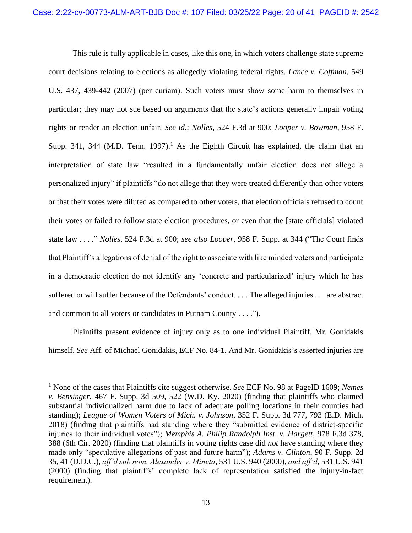This rule is fully applicable in cases, like this one, in which voters challenge state supreme court decisions relating to elections as allegedly violating federal rights. *Lance v. Coffman*, 549 U.S. 437, 439-442 (2007) (per curiam). Such voters must show some harm to themselves in particular; they may not sue based on arguments that the state's actions generally impair voting rights or render an election unfair. *See id.*; *Nolles*, 524 F.3d at 900; *Looper v. Bowman*, 958 F. Supp. 341, 344 (M.D. Tenn. 1997).<sup>1</sup> As the Eighth Circuit has explained, the claim that an interpretation of state law "resulted in a fundamentally unfair election does not allege a personalized injury" if plaintiffs "do not allege that they were treated differently than other voters or that their votes were diluted as compared to other voters, that election officials refused to count their votes or failed to follow state election procedures, or even that the [state officials] violated state law . . . ." *Nolles*, 524 F.3d at 900; *see also Looper*, 958 F. Supp. at 344 ("The Court finds that Plaintiff's allegations of denial of the right to associate with like minded voters and participate in a democratic election do not identify any 'concrete and particularized' injury which he has suffered or will suffer because of the Defendants' conduct. . . . The alleged injuries . . . are abstract and common to all voters or candidates in Putnam County . . . .").

Plaintiffs present evidence of injury only as to one individual Plaintiff, Mr. Gonidakis himself. *See* Aff. of Michael Gonidakis, ECF No. 84-1. And Mr. Gonidakis's asserted injuries are

<sup>1</sup> None of the cases that Plaintiffs cite suggest otherwise. *See* ECF No. 98 at PageID 1609; *Nemes v. Bensinger*, 467 F. Supp. 3d 509, 522 (W.D. Ky. 2020) (finding that plaintiffs who claimed substantial individualized harm due to lack of adequate polling locations in their counties had standing); *League of Women Voters of Mich. v. Johnson*, 352 F. Supp. 3d 777, 793 (E.D. Mich. 2018) (finding that plaintiffs had standing where they "submitted evidence of district-specific injuries to their individual votes"); *Memphis A. Philip Randolph Inst. v. Hargett*, 978 F.3d 378, 388 (6th Cir. 2020) (finding that plaintiffs in voting rights case did *not* have standing where they made only "speculative allegations of past and future harm"); *Adams v. Clinton*, 90 F. Supp. 2d 35, 41 (D.D.C.), *aff'd sub nom. Alexander v. Mineta*, 531 U.S. 940 (2000), *and aff'd*, 531 U.S. 941 (2000) (finding that plaintiffs' complete lack of representation satisfied the injury-in-fact requirement).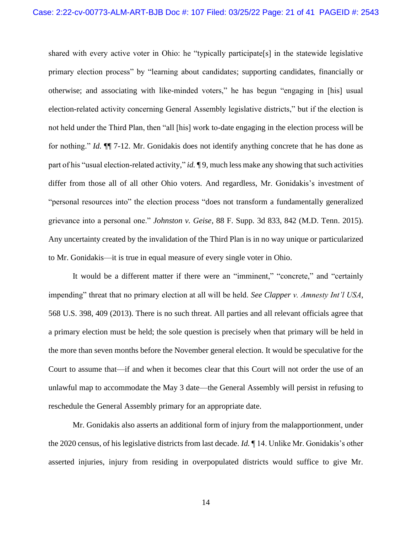shared with every active voter in Ohio: he "typically participate[s] in the statewide legislative primary election process" by "learning about candidates; supporting candidates, financially or otherwise; and associating with like-minded voters," he has begun "engaging in [his] usual election-related activity concerning General Assembly legislative districts," but if the election is not held under the Third Plan, then "all [his] work to-date engaging in the election process will be for nothing." *Id.* ¶¶ 7-12. Mr. Gonidakis does not identify anything concrete that he has done as part of his "usual election-related activity," *id.* ¶ 9, much less make any showing that such activities differ from those all of all other Ohio voters. And regardless, Mr. Gonidakis's investment of "personal resources into" the election process "does not transform a fundamentally generalized grievance into a personal one." *Johnston v. Geise*, 88 F. Supp. 3d 833, 842 (M.D. Tenn. 2015). Any uncertainty created by the invalidation of the Third Plan is in no way unique or particularized to Mr. Gonidakis—it is true in equal measure of every single voter in Ohio.

It would be a different matter if there were an "imminent," "concrete," and "certainly impending" threat that no primary election at all will be held. *See Clapper v. Amnesty Int'l USA*, 568 U.S. 398, 409 (2013). There is no such threat. All parties and all relevant officials agree that a primary election must be held; the sole question is precisely when that primary will be held in the more than seven months before the November general election. It would be speculative for the Court to assume that—if and when it becomes clear that this Court will not order the use of an unlawful map to accommodate the May 3 date—the General Assembly will persist in refusing to reschedule the General Assembly primary for an appropriate date.

Mr. Gonidakis also asserts an additional form of injury from the malapportionment, under the 2020 census, of his legislative districts from last decade. *Id.* ¶ 14. Unlike Mr. Gonidakis's other asserted injuries, injury from residing in overpopulated districts would suffice to give Mr.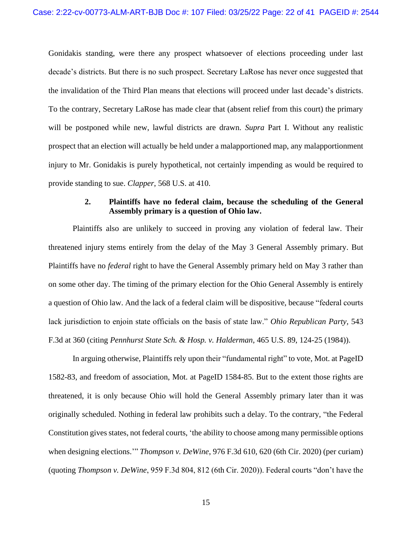Gonidakis standing, were there any prospect whatsoever of elections proceeding under last decade's districts. But there is no such prospect. Secretary LaRose has never once suggested that the invalidation of the Third Plan means that elections will proceed under last decade's districts. To the contrary, Secretary LaRose has made clear that (absent relief from this court) the primary will be postponed while new, lawful districts are drawn. *Supra* Part I. Without any realistic prospect that an election will actually be held under a malapportioned map, any malapportionment injury to Mr. Gonidakis is purely hypothetical, not certainly impending as would be required to provide standing to sue. *Clapper*, 568 U.S. at 410.

### **2. Plaintiffs have no federal claim, because the scheduling of the General Assembly primary is a question of Ohio law.**

<span id="page-21-0"></span>Plaintiffs also are unlikely to succeed in proving any violation of federal law. Their threatened injury stems entirely from the delay of the May 3 General Assembly primary. But Plaintiffs have no *federal* right to have the General Assembly primary held on May 3 rather than on some other day. The timing of the primary election for the Ohio General Assembly is entirely a question of Ohio law. And the lack of a federal claim will be dispositive, because "federal courts lack jurisdiction to enjoin state officials on the basis of state law." *Ohio Republican Party,* 543 F.3d at 360 (citing *Pennhurst State Sch. & Hosp. v. Halderman*, 465 U.S. 89, 124-25 (1984)).

In arguing otherwise, Plaintiffs rely upon their "fundamental right" to vote, Mot. at PageID 1582-83, and freedom of association, Mot. at PageID 1584-85. But to the extent those rights are threatened, it is only because Ohio will hold the General Assembly primary later than it was originally scheduled. Nothing in federal law prohibits such a delay. To the contrary, "the Federal Constitution gives states, not federal courts, 'the ability to choose among many permissible options when designing elections.'" *Thompson v. DeWine*, 976 F.3d 610, 620 (6th Cir. 2020) (per curiam) (quoting *Thompson v. DeWine*, 959 F.3d 804, 812 (6th Cir. 2020)). Federal courts "don't have the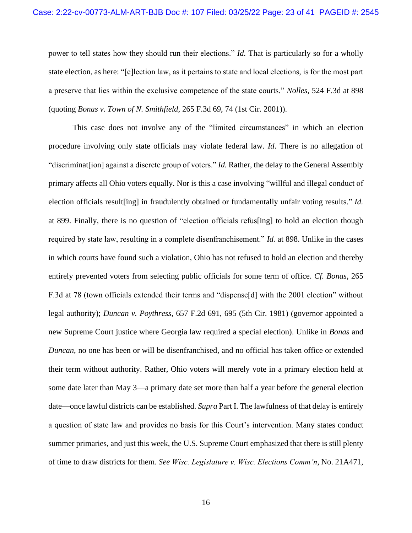power to tell states how they should run their elections." *Id.* That is particularly so for a wholly state election, as here: "[e]lection law, as it pertains to state and local elections, is for the most part a preserve that lies within the exclusive competence of the state courts." *Nolles*, 524 F.3d at 898 (quoting *Bonas v. Town of N. Smithfield*, 265 F.3d 69, 74 (1st Cir. 2001)).

This case does not involve any of the "limited circumstances" in which an election procedure involving only state officials may violate federal law. *Id*. There is no allegation of "discriminat[ion] against a discrete group of voters." *Id.* Rather, the delay to the General Assembly primary affects all Ohio voters equally. Nor is this a case involving "willful and illegal conduct of election officials result[ing] in fraudulently obtained or fundamentally unfair voting results." *Id.* at 899. Finally, there is no question of "election officials refus[ing] to hold an election though required by state law, resulting in a complete disenfranchisement." *Id.* at 898. Unlike in the cases in which courts have found such a violation, Ohio has not refused to hold an election and thereby entirely prevented voters from selecting public officials for some term of office. *Cf. Bonas*, 265 F.3d at 78 (town officials extended their terms and "dispense[d] with the 2001 election" without legal authority); *Duncan v. Poythress*, 657 F.2d 691, 695 (5th Cir. 1981) (governor appointed a new Supreme Court justice where Georgia law required a special election). Unlike in *Bonas* and *Duncan*, no one has been or will be disenfranchised, and no official has taken office or extended their term without authority. Rather, Ohio voters will merely vote in a primary election held at some date later than May 3—a primary date set more than half a year before the general election date—once lawful districts can be established. *Supra* Part I. The lawfulness of that delay is entirely a question of state law and provides no basis for this Court's intervention. Many states conduct summer primaries, and just this week, the U.S. Supreme Court emphasized that there is still plenty of time to draw districts for them. *See Wisc. Legislature v. Wisc. Elections Comm'n*, No. 21A471,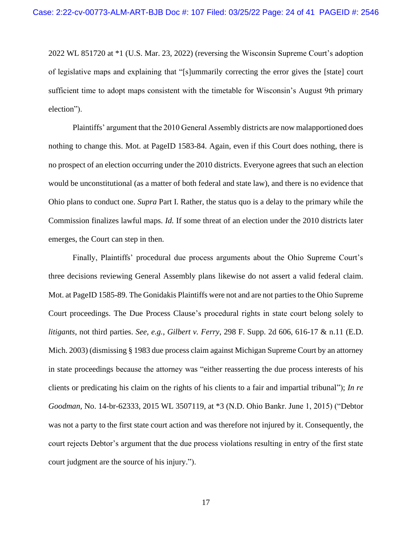2022 WL 851720 at \*1 (U.S. Mar. 23, 2022) (reversing the Wisconsin Supreme Court's adoption of legislative maps and explaining that "[s]ummarily correcting the error gives the [state] court sufficient time to adopt maps consistent with the timetable for Wisconsin's August 9th primary election").

Plaintiffs' argument that the 2010 General Assembly districts are now malapportioned does nothing to change this. Mot. at PageID 1583-84. Again, even if this Court does nothing, there is no prospect of an election occurring under the 2010 districts. Everyone agrees that such an election would be unconstitutional (as a matter of both federal and state law), and there is no evidence that Ohio plans to conduct one. *Supra* Part I. Rather, the status quo is a delay to the primary while the Commission finalizes lawful maps. *Id.* If some threat of an election under the 2010 districts later emerges, the Court can step in then.

Finally, Plaintiffs' procedural due process arguments about the Ohio Supreme Court's three decisions reviewing General Assembly plans likewise do not assert a valid federal claim. Mot. at PageID 1585-89. The Gonidakis Plaintiffs were not and are not parties to the Ohio Supreme Court proceedings. The Due Process Clause's procedural rights in state court belong solely to *litigants*, not third parties. *See, e.g.*, *Gilbert v. Ferry*, 298 F. Supp. 2d 606, 616-17 & n.11 (E.D. Mich. 2003) (dismissing § 1983 due process claim against Michigan Supreme Court by an attorney in state proceedings because the attorney was "either reasserting the due process interests of his clients or predicating his claim on the rights of his clients to a fair and impartial tribunal"); *In re Goodman*, No. 14-br-62333, 2015 WL 3507119, at \*3 (N.D. Ohio Bankr. June 1, 2015) ("Debtor was not a party to the first state court action and was therefore not injured by it. Consequently, the court rejects Debtor's argument that the due process violations resulting in entry of the first state court judgment are the source of his injury.").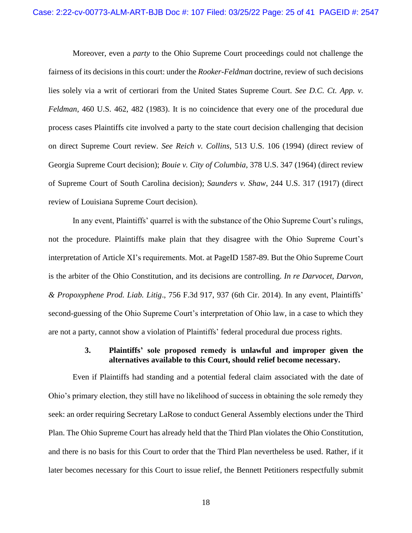Moreover, even a *party* to the Ohio Supreme Court proceedings could not challenge the fairness of its decisions in this court: under the *Rooker-Feldman* doctrine, review of such decisions lies solely via a writ of certiorari from the United States Supreme Court. *See D.C. Ct. App. v. Feldman*, 460 U.S. 462, 482 (1983). It is no coincidence that every one of the procedural due process cases Plaintiffs cite involved a party to the state court decision challenging that decision on direct Supreme Court review. *See Reich v. Collins*, 513 U.S. 106 (1994) (direct review of Georgia Supreme Court decision); *Bouie v. City of Columbia*, 378 U.S. 347 (1964) (direct review of Supreme Court of South Carolina decision); *Saunders v. Shaw*, 244 U.S. 317 (1917) (direct review of Louisiana Supreme Court decision).

In any event, Plaintiffs' quarrel is with the substance of the Ohio Supreme Court's rulings, not the procedure. Plaintiffs make plain that they disagree with the Ohio Supreme Court's interpretation of Article XI's requirements. Mot. at PageID 1587-89. But the Ohio Supreme Court is the arbiter of the Ohio Constitution, and its decisions are controlling. *In re Darvocet, Darvon, & Propoxyphene Prod. Liab. Litig*., 756 F.3d 917, 937 (6th Cir. 2014). In any event, Plaintiffs' second-guessing of the Ohio Supreme Court's interpretation of Ohio law, in a case to which they are not a party, cannot show a violation of Plaintiffs' federal procedural due process rights.

#### **3. Plaintiffs' sole proposed remedy is unlawful and improper given the alternatives available to this Court, should relief become necessary.**

<span id="page-24-0"></span>Even if Plaintiffs had standing and a potential federal claim associated with the date of Ohio's primary election, they still have no likelihood of success in obtaining the sole remedy they seek: an order requiring Secretary LaRose to conduct General Assembly elections under the Third Plan. The Ohio Supreme Court has already held that the Third Plan violates the Ohio Constitution, and there is no basis for this Court to order that the Third Plan nevertheless be used. Rather, if it later becomes necessary for this Court to issue relief, the Bennett Petitioners respectfully submit

18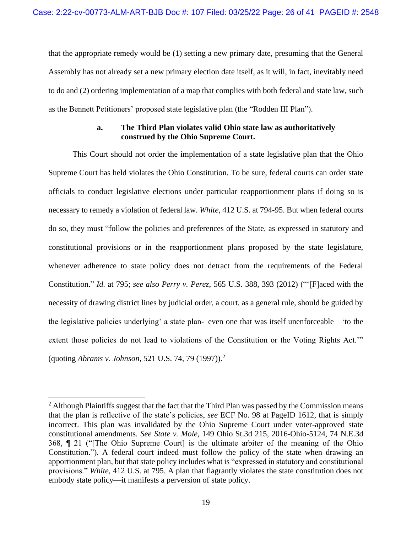that the appropriate remedy would be (1) setting a new primary date, presuming that the General Assembly has not already set a new primary election date itself, as it will, in fact, inevitably need to do and (2) ordering implementation of a map that complies with both federal and state law, such as the Bennett Petitioners' proposed state legislative plan (the "Rodden III Plan").

### **a. The Third Plan violates valid Ohio state law as authoritatively construed by the Ohio Supreme Court.**

<span id="page-25-0"></span>This Court should not order the implementation of a state legislative plan that the Ohio Supreme Court has held violates the Ohio Constitution. To be sure, federal courts can order state officials to conduct legislative elections under particular reapportionment plans if doing so is necessary to remedy a violation of federal law. *White*, 412 U.S. at 794-95. But when federal courts do so, they must "follow the policies and preferences of the State, as expressed in statutory and constitutional provisions or in the reapportionment plans proposed by the state legislature, whenever adherence to state policy does not detract from the requirements of the Federal Constitution." *Id.* at 795; *see also Perry v. Perez*, 565 U.S. 388, 393 (2012) ("'[F]aced with the necessity of drawing district lines by judicial order, a court, as a general rule, should be guided by the legislative policies underlying' a state plan-–even one that was itself unenforceable—'to the extent those policies do not lead to violations of the Constitution or the Voting Rights Act." (quoting *Abrams v. Johnson*, 521 U.S. 74, 79 (1997)).<sup>2</sup>

<sup>&</sup>lt;sup>2</sup> Although Plaintiffs suggest that the fact that the Third Plan was passed by the Commission means that the plan is reflective of the state's policies, *see* ECF No. 98 at PageID 1612, that is simply incorrect. This plan was invalidated by the Ohio Supreme Court under voter-approved state constitutional amendments. *See State v. Mole*, 149 Ohio St.3d 215, 2016-Ohio-5124, 74 N.E.3d 368, ¶ 21 ("[The Ohio Supreme Court] is the ultimate arbiter of the meaning of the Ohio Constitution."). A federal court indeed must follow the policy of the state when drawing an apportionment plan, but that state policy includes what is "expressed in statutory and constitutional provisions." *White*, 412 U.S. at 795. A plan that flagrantly violates the state constitution does not embody state policy—it manifests a perversion of state policy.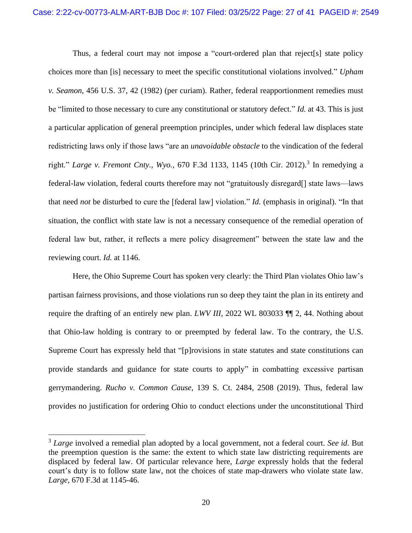Thus, a federal court may not impose a "court-ordered plan that reject[s] state policy choices more than [is] necessary to meet the specific constitutional violations involved." *Upham v. Seamon*, 456 U.S. 37, 42 (1982) (per curiam). Rather, federal reapportionment remedies must be "limited to those necessary to cure any constitutional or statutory defect." *Id.* at 43. This is just a particular application of general preemption principles, under which federal law displaces state redistricting laws only if those laws "are an *unavoidable obstacle* to the vindication of the federal right." *Large v. Fremont Cnty., Wyo., 670 F.3d 1133, 1145 (10th Cir. 2012)*.<sup>3</sup> In remedying a federal-law violation, federal courts therefore may not "gratuitously disregard[] state laws—laws that need *not* be disturbed to cure the [federal law] violation." *Id.* (emphasis in original). "In that situation, the conflict with state law is not a necessary consequence of the remedial operation of federal law but, rather, it reflects a mere policy disagreement" between the state law and the reviewing court. *Id.* at 1146.

Here, the Ohio Supreme Court has spoken very clearly: the Third Plan violates Ohio law's partisan fairness provisions, and those violations run so deep they taint the plan in its entirety and require the drafting of an entirely new plan. *LWV III*, 2022 WL 803033 ¶¶ 2, 44. Nothing about that Ohio-law holding is contrary to or preempted by federal law. To the contrary, the U.S. Supreme Court has expressly held that "[p]rovisions in state statutes and state constitutions can provide standards and guidance for state courts to apply" in combatting excessive partisan gerrymandering. *Rucho v. Common Cause*, 139 S. Ct. 2484, 2508 (2019). Thus, federal law provides no justification for ordering Ohio to conduct elections under the unconstitutional Third

<sup>3</sup> *Large* involved a remedial plan adopted by a local government, not a federal court. *See id.* But the preemption question is the same: the extent to which state law districting requirements are displaced by federal law. Of particular relevance here, *Large* expressly holds that the federal court's duty is to follow state law, not the choices of state map-drawers who violate state law. *Large*, 670 F.3d at 1145-46.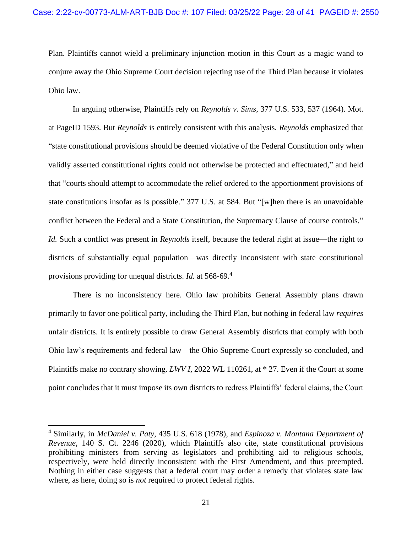Plan. Plaintiffs cannot wield a preliminary injunction motion in this Court as a magic wand to conjure away the Ohio Supreme Court decision rejecting use of the Third Plan because it violates Ohio law.

In arguing otherwise, Plaintiffs rely on *Reynolds v. Sims*, 377 U.S. 533, 537 (1964). Mot. at PageID 1593. But *Reynolds* is entirely consistent with this analysis. *Reynolds* emphasized that "state constitutional provisions should be deemed violative of the Federal Constitution only when validly asserted constitutional rights could not otherwise be protected and effectuated," and held that "courts should attempt to accommodate the relief ordered to the apportionment provisions of state constitutions insofar as is possible." 377 U.S. at 584. But "[w]hen there is an unavoidable conflict between the Federal and a State Constitution, the Supremacy Clause of course controls." *Id.* Such a conflict was present in *Reynolds* itself, because the federal right at issue—the right to districts of substantially equal population—was directly inconsistent with state constitutional provisions providing for unequal districts. *Id.* at 568-69.<sup>4</sup>

There is no inconsistency here. Ohio law prohibits General Assembly plans drawn primarily to favor one political party, including the Third Plan, but nothing in federal law *requires* unfair districts. It is entirely possible to draw General Assembly districts that comply with both Ohio law's requirements and federal law—the Ohio Supreme Court expressly so concluded, and Plaintiffs make no contrary showing. *LWV I*, 2022 WL 110261, at \* 27. Even if the Court at some point concludes that it must impose its own districts to redress Plaintiffs' federal claims, the Court

<sup>4</sup> Similarly, in *McDaniel v. Paty*, 435 U.S. 618 (1978), and *Espinoza v. Montana Department of Revenue*, 140 S. Ct. 2246 (2020), which Plaintiffs also cite, state constitutional provisions prohibiting ministers from serving as legislators and prohibiting aid to religious schools, respectively, were held directly inconsistent with the First Amendment, and thus preempted. Nothing in either case suggests that a federal court may order a remedy that violates state law where, as here, doing so is *not* required to protect federal rights.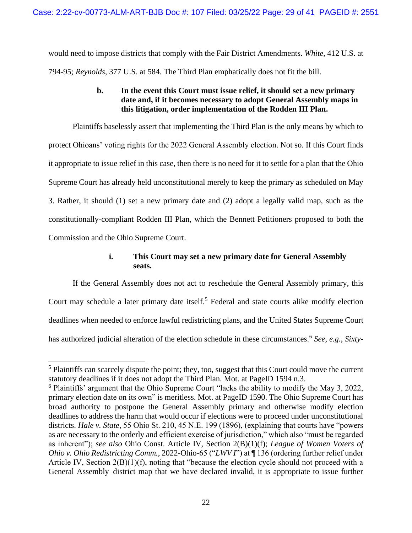would need to impose districts that comply with the Fair District Amendments. *White*, 412 U.S. at 794-95; *Reynolds*, 377 U.S. at 584. The Third Plan emphatically does not fit the bill.

### **b. In the event this Court must issue relief, it should set a new primary date and, if it becomes necessary to adopt General Assembly maps in this litigation, order implementation of the Rodden III Plan.**

<span id="page-28-0"></span>Plaintiffs baselessly assert that implementing the Third Plan is the only means by which to protect Ohioans' voting rights for the 2022 General Assembly election. Not so. If this Court finds it appropriate to issue relief in this case, then there is no need for it to settle for a plan that the Ohio Supreme Court has already held unconstitutional merely to keep the primary as scheduled on May 3. Rather, it should (1) set a new primary date and (2) adopt a legally valid map, such as the constitutionally-compliant Rodden III Plan, which the Bennett Petitioners proposed to both the Commission and the Ohio Supreme Court.

## **i. This Court may set a new primary date for General Assembly seats.**

<span id="page-28-1"></span>If the General Assembly does not act to reschedule the General Assembly primary, this Court may schedule a later primary date itself.<sup>5</sup> Federal and state courts alike modify election deadlines when needed to enforce lawful redistricting plans, and the United States Supreme Court has authorized judicial alteration of the election schedule in these circumstances.<sup>6</sup> *See, e.g.*, *Sixty-*

<sup>5</sup> Plaintiffs can scarcely dispute the point; they, too, suggest that this Court could move the current statutory deadlines if it does not adopt the Third Plan. Mot. at PageID 1594 n.3.

<sup>6</sup> Plaintiffs' argument that the Ohio Supreme Court "lacks the ability to modify the May 3, 2022, primary election date on its own" is meritless. Mot. at PageID 1590. The Ohio Supreme Court has broad authority to postpone the General Assembly primary and otherwise modify election deadlines to address the harm that would occur if elections were to proceed under unconstitutional districts. *Hale v. State*, 55 Ohio St. 210, 45 N.E. 199 (1896), (explaining that courts have "powers as are necessary to the orderly and efficient exercise of jurisdiction," which also "must be regarded as inherent"); *see also* Ohio Const. Article IV, Section 2(B)(1)(f); *League of Women Voters of Ohio v. Ohio Redistricting Comm.*, 2022-Ohio-65 ("*LWV I*") at ¶ 136 (ordering further relief under Article IV, Section 2(B)(1)(f), noting that "because the election cycle should not proceed with a General Assembly–district map that we have declared invalid, it is appropriate to issue further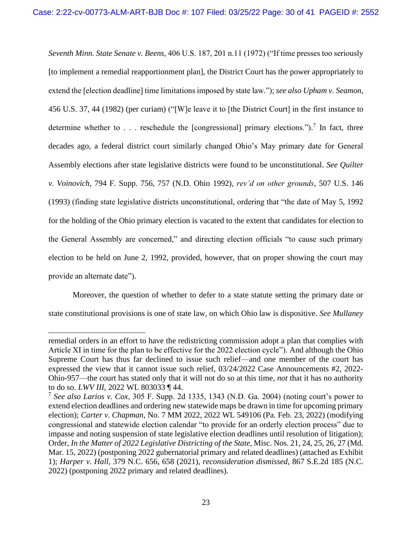*Seventh Minn. State Senate v. Beens*, 406 U.S. 187, 201 n.11 (1972) ("If time presses too seriously [to implement a remedial reapportionment plan], the District Court has the power appropriately to extend the [election deadline] time limitations imposed by state law."); *see also Upham v. Seamon*, 456 U.S. 37, 44 (1982) (per curiam) ("[W]e leave it to [the District Court] in the first instance to determine whether to . . . reschedule the [congressional] primary elections.").<sup>7</sup> In fact, three decades ago, a federal district court similarly changed Ohio's May primary date for General Assembly elections after state legislative districts were found to be unconstitutional. *See Quilter v. Voinovich*, 794 F. Supp. 756, 757 (N.D. Ohio 1992), *rev'd on other grounds*, 507 U.S. 146 (1993) (finding state legislative districts unconstitutional, ordering that "the date of May 5, 1992 for the holding of the Ohio primary election is vacated to the extent that candidates for election to the General Assembly are concerned," and directing election officials "to cause such primary election to be held on June 2, 1992, provided, however, that on proper showing the court may provide an alternate date").

Moreover, the question of whether to defer to a state statute setting the primary date or state constitutional provisions is one of state law, on which Ohio law is dispositive. *See Mullaney* 

remedial orders in an effort to have the redistricting commission adopt a plan that complies with Article XI in time for the plan to be effective for the 2022 election cycle"). And although the Ohio Supreme Court has thus far declined to issue such relief—and one member of the court has expressed the view that it cannot issue such relief, 03/24/2022 Case Announcements #2, 2022- Ohio-957—the court has stated only that it will not do so at this time, *not* that it has no authority to do so. *LWV III*, 2022 WL 803033 ¶ 44.

<sup>7</sup> *See also Larios v. Cox*, 305 F. Supp. 2d 1335, 1343 (N.D. Ga. 2004) (noting court's power to extend election deadlines and ordering new statewide maps be drawn in time for upcoming primary election); *Carter v. Chapman*, No. 7 MM 2022, 2022 WL 549106 (Pa. Feb. 23, 2022) (modifying congressional and statewide election calendar "to provide for an orderly election process" due to impasse and noting suspension of state legislative election deadlines until resolution of litigation); Order, *In the Matter of 2022 Legislative Districting of the State*, Misc. Nos. 21, 24, 25, 26, 27 (Md. Mar. 15, 2022) (postponing 2022 gubernatorial primary and related deadlines) (attached as Exhibit 1); *Harper v. Hall*, 379 N.C. 656, 658 (2021), *reconsideration dismissed*, 867 S.E.2d 185 (N.C. 2022) (postponing 2022 primary and related deadlines).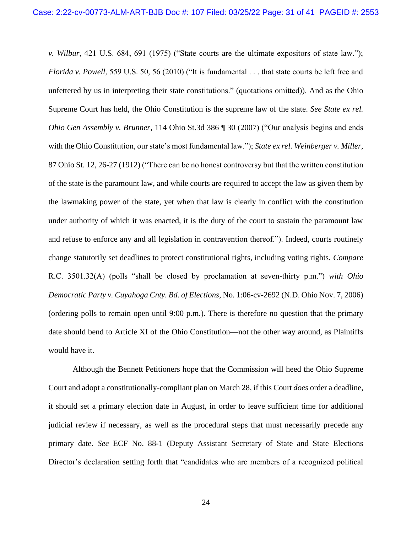*v. Wilbur*, 421 U.S. 684, 691 (1975) ("State courts are the ultimate expositors of state law."); *Florida v. Powell*, 559 U.S. 50, 56 (2010) ("It is fundamental . . . that state courts be left free and unfettered by us in interpreting their state constitutions." (quotations omitted)). And as the Ohio Supreme Court has held, the Ohio Constitution is the supreme law of the state. *See State ex rel. Ohio Gen Assembly v. Brunner*, 114 Ohio St.3d 386 ¶ 30 (2007) ("Our analysis begins and ends with the Ohio Constitution, our state's most fundamental law."); *State ex rel. Weinberger v. Miller*, 87 Ohio St. 12, 26-27 (1912) ("There can be no honest controversy but that the written constitution of the state is the paramount law, and while courts are required to accept the law as given them by the lawmaking power of the state, yet when that law is clearly in conflict with the constitution under authority of which it was enacted, it is the duty of the court to sustain the paramount law and refuse to enforce any and all legislation in contravention thereof."). Indeed, courts routinely change statutorily set deadlines to protect constitutional rights, including voting rights. *Compare*  R.C. 3501.32(A) (polls "shall be closed by proclamation at seven-thirty p.m.") *with Ohio Democratic Party v. Cuyahoga Cnty. Bd. of Elections*, No. 1:06-cv-2692 (N.D. Ohio Nov. 7, 2006) (ordering polls to remain open until 9:00 p.m.). There is therefore no question that the primary date should bend to Article XI of the Ohio Constitution—not the other way around, as Plaintiffs would have it.

Although the Bennett Petitioners hope that the Commission will heed the Ohio Supreme Court and adopt a constitutionally-compliant plan on March 28, if this Court *does* order a deadline, it should set a primary election date in August, in order to leave sufficient time for additional judicial review if necessary, as well as the procedural steps that must necessarily precede any primary date. *See* ECF No. 88-1 (Deputy Assistant Secretary of State and State Elections Director's declaration setting forth that "candidates who are members of a recognized political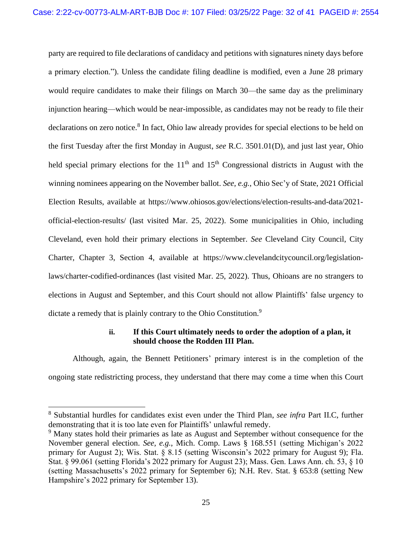party are required to file declarations of candidacy and petitions with signatures ninety days before a primary election."). Unless the candidate filing deadline is modified, even a June 28 primary would require candidates to make their filings on March 30—the same day as the preliminary injunction hearing—which would be near-impossible, as candidates may not be ready to file their declarations on zero notice.<sup>8</sup> In fact, Ohio law already provides for special elections to be held on the first Tuesday after the first Monday in August, *see* R.C. 3501.01(D), and just last year, Ohio held special primary elections for the  $11<sup>th</sup>$  and  $15<sup>th</sup>$  Congressional districts in August with the winning nominees appearing on the November ballot. *See, e.g.*, Ohio Sec'y of State, 2021 Official Election Results, available at https://www.ohiosos.gov/elections/election-results-and-data/2021 official-election-results/ (last visited Mar. 25, 2022). Some municipalities in Ohio, including Cleveland, even hold their primary elections in September. *See* Cleveland City Council, City Charter, Chapter 3, Section 4, available at https://www.clevelandcitycouncil.org/legislationlaws/charter-codified-ordinances (last visited Mar. 25, 2022). Thus, Ohioans are no strangers to elections in August and September, and this Court should not allow Plaintiffs' false urgency to dictate a remedy that is plainly contrary to the Ohio Constitution.<sup>9</sup>

### **ii. If this Court ultimately needs to order the adoption of a plan, it should choose the Rodden III Plan.**

<span id="page-31-0"></span>Although, again, the Bennett Petitioners' primary interest is in the completion of the ongoing state redistricting process, they understand that there may come a time when this Court

<sup>8</sup> Substantial hurdles for candidates exist even under the Third Plan, *see infra* Part II.C, further demonstrating that it is too late even for Plaintiffs' unlawful remedy.

<sup>&</sup>lt;sup>9</sup> Many states hold their primaries as late as August and September without consequence for the November general election. *See, e.g.*, Mich. Comp. Laws § 168.551 (setting Michigan's 2022 primary for August 2); Wis. Stat. § 8.15 (setting Wisconsin's 2022 primary for August 9); Fla. Stat. § 99.061 (setting Florida's 2022 primary for August 23); Mass. Gen. Laws Ann. ch. 53, § 10 (setting Massachusetts's 2022 primary for September 6); N.H. Rev. Stat. § 653:8 (setting New Hampshire's 2022 primary for September 13).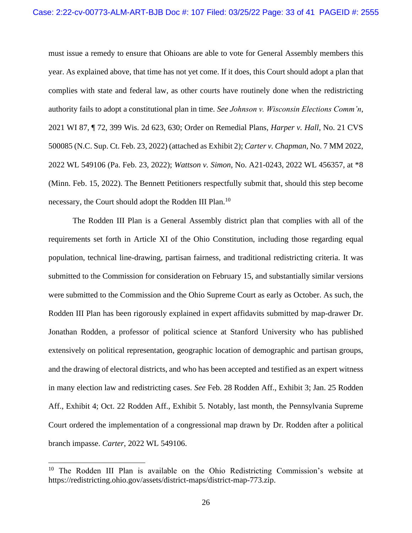must issue a remedy to ensure that Ohioans are able to vote for General Assembly members this year. As explained above, that time has not yet come. If it does, this Court should adopt a plan that complies with state and federal law, as other courts have routinely done when the redistricting authority fails to adopt a constitutional plan in time. *See Johnson v. Wisconsin Elections Comm'n*, 2021 WI 87, ¶ 72, 399 Wis. 2d 623, 630; Order on Remedial Plans, *Harper v. Hall*, No. 21 CVS 500085 (N.C. Sup. Ct. Feb. 23, 2022) (attached as Exhibit 2); *Carter v. Chapman*, No. 7 MM 2022, 2022 WL 549106 (Pa. Feb. 23, 2022); *Wattson v. Simon*, No. A21-0243, 2022 WL 456357, at \*8 (Minn. Feb. 15, 2022). The Bennett Petitioners respectfully submit that, should this step become necessary, the Court should adopt the Rodden III Plan.<sup>10</sup>

The Rodden III Plan is a General Assembly district plan that complies with all of the requirements set forth in Article XI of the Ohio Constitution, including those regarding equal population, technical line-drawing, partisan fairness, and traditional redistricting criteria. It was submitted to the Commission for consideration on February 15, and substantially similar versions were submitted to the Commission and the Ohio Supreme Court as early as October. As such, the Rodden III Plan has been rigorously explained in expert affidavits submitted by map-drawer Dr. Jonathan Rodden, a professor of political science at Stanford University who has published extensively on political representation, geographic location of demographic and partisan groups, and the drawing of electoral districts, and who has been accepted and testified as an expert witness in many election law and redistricting cases. *See* Feb. 28 Rodden Aff., Exhibit 3; Jan. 25 Rodden Aff., Exhibit 4; Oct. 22 Rodden Aff., Exhibit 5. Notably, last month, the Pennsylvania Supreme Court ordered the implementation of a congressional map drawn by Dr. Rodden after a political branch impasse. *Carter*, 2022 WL 549106.

<sup>&</sup>lt;sup>10</sup> The Rodden III Plan is available on the Ohio Redistricting Commission's website at https://redistricting.ohio.gov/assets/district-maps/district-map-773.zip.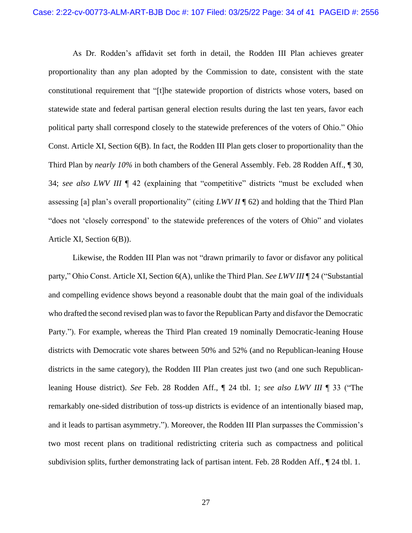As Dr. Rodden's affidavit set forth in detail, the Rodden III Plan achieves greater proportionality than any plan adopted by the Commission to date, consistent with the state constitutional requirement that "[t]he statewide proportion of districts whose voters, based on statewide state and federal partisan general election results during the last ten years, favor each political party shall correspond closely to the statewide preferences of the voters of Ohio." Ohio Const. Article XI, Section 6(B). In fact, the Rodden III Plan gets closer to proportionality than the Third Plan by *nearly 10%* in both chambers of the General Assembly. Feb. 28 Rodden Aff., ¶ 30, 34; *see also LWV III* ¶ 42 (explaining that "competitive" districts "must be excluded when assessing [a] plan's overall proportionality" (citing *LWV II* ¶ 62) and holding that the Third Plan "does not 'closely correspond' to the statewide preferences of the voters of Ohio" and violates Article XI, Section 6(B)).

Likewise, the Rodden III Plan was not "drawn primarily to favor or disfavor any political party," Ohio Const. Article XI, Section 6(A), unlike the Third Plan. *See LWV III* ¶ 24 ("Substantial and compelling evidence shows beyond a reasonable doubt that the main goal of the individuals who drafted the second revised plan was to favor the Republican Party and disfavor the Democratic Party."). For example, whereas the Third Plan created 19 nominally Democratic-leaning House districts with Democratic vote shares between 50% and 52% (and no Republican-leaning House districts in the same category), the Rodden III Plan creates just two (and one such Republicanleaning House district). *See* Feb. 28 Rodden Aff., ¶ 24 tbl. 1; *see also LWV III* ¶ 33 ("The remarkably one-sided distribution of toss-up districts is evidence of an intentionally biased map, and it leads to partisan asymmetry."). Moreover, the Rodden III Plan surpasses the Commission's two most recent plans on traditional redistricting criteria such as compactness and political subdivision splits, further demonstrating lack of partisan intent. Feb. 28 Rodden Aff., ¶ 24 tbl. 1.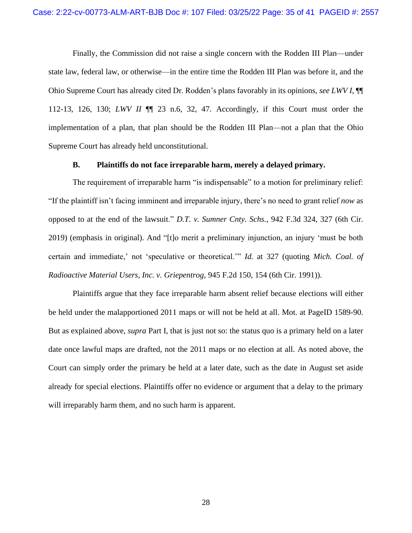Finally, the Commission did not raise a single concern with the Rodden III Plan—under state law, federal law, or otherwise—in the entire time the Rodden III Plan was before it, and the Ohio Supreme Court has already cited Dr. Rodden's plans favorably in its opinions, *see LWV I*, ¶¶ 112-13, 126, 130; *LWV II* ¶¶ 23 n.6, 32, 47. Accordingly, if this Court must order the implementation of a plan, that plan should be the Rodden III Plan—not a plan that the Ohio Supreme Court has already held unconstitutional.

#### **B. Plaintiffs do not face irreparable harm, merely a delayed primary.**

<span id="page-34-0"></span>The requirement of irreparable harm "is indispensable" to a motion for preliminary relief: "If the plaintiff isn't facing imminent and irreparable injury, there's no need to grant relief *now* as opposed to at the end of the lawsuit." *D.T. v. Sumner Cnty. Schs.*, 942 F.3d 324, 327 (6th Cir. 2019) (emphasis in original). And "[t]o merit a preliminary injunction, an injury 'must be both certain and immediate,' not 'speculative or theoretical.'" *Id.* at 327 (quoting *Mich. Coal. of Radioactive Material Users, Inc. v. Griepentrog*, 945 F.2d 150, 154 (6th Cir. 1991)).

Plaintiffs argue that they face irreparable harm absent relief because elections will either be held under the malapportioned 2011 maps or will not be held at all. Mot. at PageID 1589-90. But as explained above, *supra* Part I, that is just not so: the status quo is a primary held on a later date once lawful maps are drafted, not the 2011 maps or no election at all. As noted above, the Court can simply order the primary be held at a later date, such as the date in August set aside already for special elections. Plaintiffs offer no evidence or argument that a delay to the primary will irreparably harm them, and no such harm is apparent.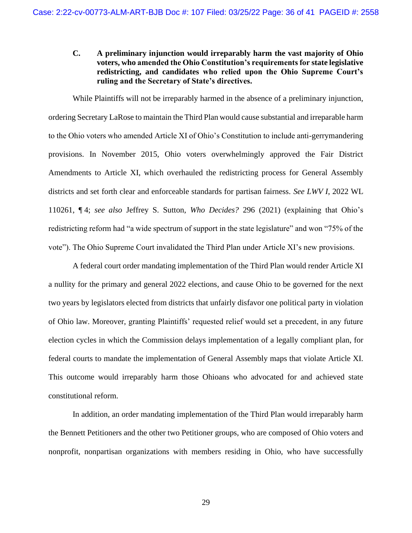### <span id="page-35-0"></span>**C. A preliminary injunction would irreparably harm the vast majority of Ohio voters, who amended the Ohio Constitution's requirements for state legislative redistricting, and candidates who relied upon the Ohio Supreme Court's ruling and the Secretary of State's directives.**

While Plaintiffs will not be irreparably harmed in the absence of a preliminary injunction, ordering Secretary LaRose to maintain the Third Plan would cause substantial and irreparable harm to the Ohio voters who amended Article XI of Ohio's Constitution to include anti-gerrymandering provisions. In November 2015, Ohio voters overwhelmingly approved the Fair District Amendments to Article XI, which overhauled the redistricting process for General Assembly districts and set forth clear and enforceable standards for partisan fairness. *See LWV I*, 2022 WL 110261, ¶ 4; *see also* Jeffrey S. Sutton, *Who Decides?* 296 (2021) (explaining that Ohio's redistricting reform had "a wide spectrum of support in the state legislature" and won "75% of the vote"). The Ohio Supreme Court invalidated the Third Plan under Article XI's new provisions.

A federal court order mandating implementation of the Third Plan would render Article XI a nullity for the primary and general 2022 elections, and cause Ohio to be governed for the next two years by legislators elected from districts that unfairly disfavor one political party in violation of Ohio law. Moreover, granting Plaintiffs' requested relief would set a precedent, in any future election cycles in which the Commission delays implementation of a legally compliant plan, for federal courts to mandate the implementation of General Assembly maps that violate Article XI. This outcome would irreparably harm those Ohioans who advocated for and achieved state constitutional reform.

In addition, an order mandating implementation of the Third Plan would irreparably harm the Bennett Petitioners and the other two Petitioner groups, who are composed of Ohio voters and nonprofit, nonpartisan organizations with members residing in Ohio, who have successfully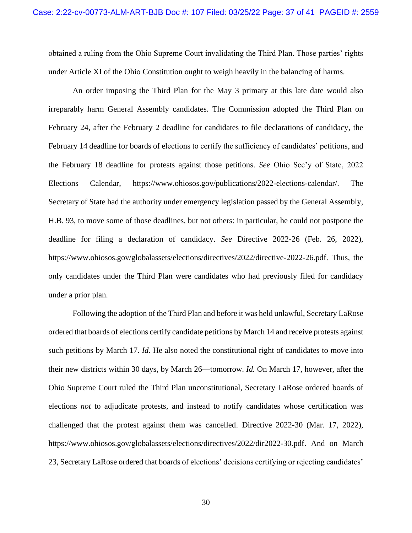obtained a ruling from the Ohio Supreme Court invalidating the Third Plan. Those parties' rights under Article XI of the Ohio Constitution ought to weigh heavily in the balancing of harms.

An order imposing the Third Plan for the May 3 primary at this late date would also irreparably harm General Assembly candidates. The Commission adopted the Third Plan on February 24, after the February 2 deadline for candidates to file declarations of candidacy, the February 14 deadline for boards of elections to certify the sufficiency of candidates' petitions, and the February 18 deadline for protests against those petitions. *See* Ohio Sec'y of State, 2022 Elections Calendar, https://www.ohiosos.gov/publications/2022-elections-calendar/. The Secretary of State had the authority under emergency legislation passed by the General Assembly, H.B. 93, to move some of those deadlines, but not others: in particular, he could not postpone the deadline for filing a declaration of candidacy. *See* Directive 2022-26 (Feb. 26, 2022), https://www.ohiosos.gov/globalassets/elections/directives/2022/directive-2022-26.pdf. Thus, the only candidates under the Third Plan were candidates who had previously filed for candidacy under a prior plan.

Following the adoption of the Third Plan and before it was held unlawful, Secretary LaRose ordered that boards of elections certify candidate petitions by March 14 and receive protests against such petitions by March 17. *Id.* He also noted the constitutional right of candidates to move into their new districts within 30 days, by March 26—tomorrow. *Id.* On March 17, however, after the Ohio Supreme Court ruled the Third Plan unconstitutional, Secretary LaRose ordered boards of elections *not* to adjudicate protests, and instead to notify candidates whose certification was challenged that the protest against them was cancelled. Directive 2022-30 (Mar. 17, 2022), https://www.ohiosos.gov/globalassets/elections/directives/2022/dir2022-30.pdf. And on March 23, Secretary LaRose ordered that boards of elections' decisions certifying or rejecting candidates'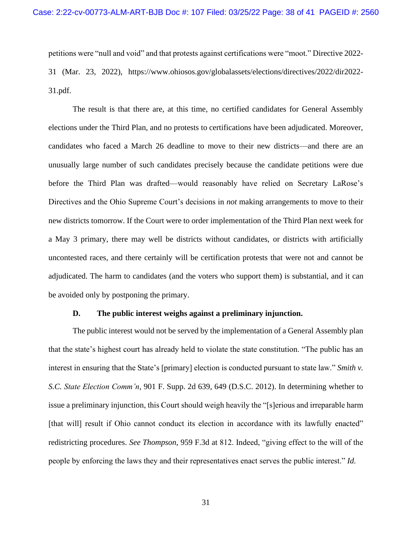petitions were "null and void" and that protests against certifications were "moot." Directive 2022- 31 (Mar. 23, 2022), https://www.ohiosos.gov/globalassets/elections/directives/2022/dir2022- 31.pdf.

The result is that there are, at this time, no certified candidates for General Assembly elections under the Third Plan, and no protests to certifications have been adjudicated. Moreover, candidates who faced a March 26 deadline to move to their new districts—and there are an unusually large number of such candidates precisely because the candidate petitions were due before the Third Plan was drafted—would reasonably have relied on Secretary LaRose's Directives and the Ohio Supreme Court's decisions in *not* making arrangements to move to their new districts tomorrow. If the Court were to order implementation of the Third Plan next week for a May 3 primary, there may well be districts without candidates, or districts with artificially uncontested races, and there certainly will be certification protests that were not and cannot be adjudicated. The harm to candidates (and the voters who support them) is substantial, and it can be avoided only by postponing the primary.

#### **D. The public interest weighs against a preliminary injunction.**

<span id="page-37-0"></span>The public interest would not be served by the implementation of a General Assembly plan that the state's highest court has already held to violate the state constitution. "The public has an interest in ensuring that the State's [primary] election is conducted pursuant to state law." *Smith v. S.C. State Election Comm'n*, 901 F. Supp. 2d 639, 649 (D.S.C. 2012). In determining whether to issue a preliminary injunction, this Court should weigh heavily the "[s]erious and irreparable harm [that will] result if Ohio cannot conduct its election in accordance with its lawfully enacted" redistricting procedures. *See Thompson*, 959 F.3d at 812. Indeed, "giving effect to the will of the people by enforcing the laws they and their representatives enact serves the public interest." *Id.*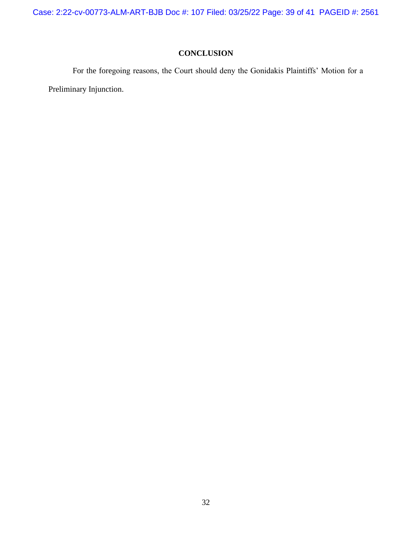Case: 2:22-cv-00773-ALM-ART-BJB Doc #: 107 Filed: 03/25/22 Page: 39 of 41 PAGEID #: 2561

## **CONCLUSION**

<span id="page-38-0"></span>For the foregoing reasons, the Court should deny the Gonidakis Plaintiffs' Motion for a Preliminary Injunction.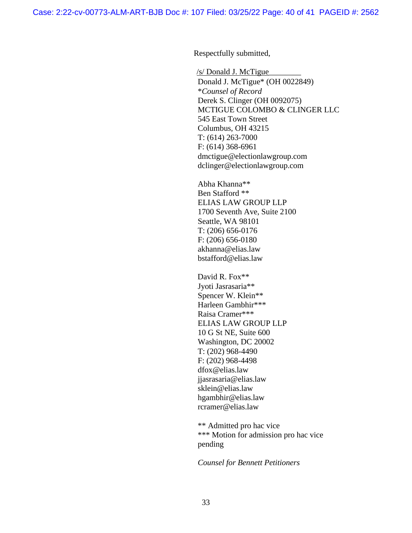Respectfully submitted,

/s/ Donald J. McTigue\_\_\_\_\_\_\_\_ Donald J. McTigue\* (OH 0022849) \**Counsel of Record*  Derek S. Clinger (OH 0092075) MCTIGUE COLOMBO & CLINGER LLC 545 East Town Street Columbus, OH 43215 T: (614) 263-7000 F: (614) 368-6961 dmctigue@electionlawgroup.com dclinger@electionlawgroup.com

Abha Khanna\*\* Ben Stafford \*\* ELIAS LAW GROUP LLP 1700 Seventh Ave, Suite 2100 Seattle, WA 98101 T: (206) 656-0176 F: (206) 656-0180 akhanna@elias.law bstafford@elias.law

David R. Fox\*\* Jyoti Jasrasaria\*\* Spencer W. Klein\*\* Harleen Gambhir\*\*\* Raisa Cramer\*\*\* ELIAS LAW GROUP LLP 10 G St NE, Suite 600 Washington, DC 20002 T: (202) 968-4490 F: (202) 968-4498 dfox@elias.law jjasrasaria@elias.law sklein@elias.law hgambhir@elias.law rcramer@elias.law

\*\* Admitted pro hac vice \*\*\* Motion for admission pro hac vice pending

*Counsel for Bennett Petitioners*